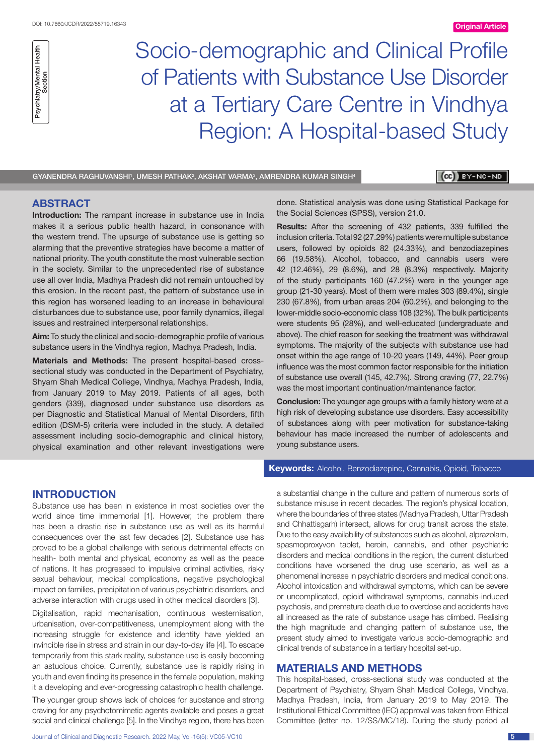

Socio-demographic and Clinical Profile of Patients with Substance Use Disorder at a Tertiary Care Centre in Vindhya Region: A Hospital-based Study

 $\mathsf{\mathsf{GYANENDRA}}$  raghuvanshi', umesh pathak $^2$ , akshat varma $^3$ , amrendra Kumar Singh $^4$ 

## $(c)$   $y - NC - NO$

# **ABSTRACT**

**Introduction:** The rampant increase in substance use in India makes it a serious public health hazard, in consonance with the western trend. The upsurge of substance use is getting so alarming that the preventive strategies have become a matter of national priority. The youth constitute the most vulnerable section in the society. Similar to the unprecedented rise of substance use all over India, Madhya Pradesh did not remain untouched by this erosion. In the recent past, the pattern of substance use in this region has worsened leading to an increase in behavioural disturbances due to substance use, poor family dynamics, illegal issues and restrained interpersonal relationships.

**Aim:** To study the clinical and socio-demographic profile of various substance users in the Vindhya region, Madhya Pradesh, India.

**Materials and Methods:** The present hospital-based crosssectional study was conducted in the Department of Psychiatry, Shyam Shah Medical College, Vindhya, Madhya Pradesh, India, from January 2019 to May 2019. Patients of all ages, both genders (339), diagnosed under substance use disorders as per Diagnostic and Statistical Manual of Mental Disorders, fifth edition (DSM-5) criteria were included in the study. A detailed assessment including socio-demographic and clinical history, physical examination and other relevant investigations were done. Statistical analysis was done using Statistical Package for the Social Sciences (SPSS), version 21.0.

**Results:** After the screening of 432 patients, 339 fulfilled the inclusion criteria. Total 92 (27.29%) patients were multiple substance users, followed by opioids 82 (24.33%), and benzodiazepines 66 (19.58%). Alcohol, tobacco, and cannabis users were 42 (12.46%), 29 (8.6%), and 28 (8.3%) respectively. Majority of the study participants 160 (47.2%) were in the younger age group (21-30 years). Most of them were males 303 (89.4%), single 230 (67.8%), from urban areas 204 (60.2%), and belonging to the lower-middle socio-economic class 108 (32%). The bulk participants were students 95 (28%), and well-educated (undergraduate and above). The chief reason for seeking the treatment was withdrawal symptoms. The majority of the subjects with substance use had onset within the age range of 10-20 years (149, 44%). Peer group influence was the most common factor responsible for the initiation of substance use overall (145, 42.7%). Strong craving (77, 22.7%) was the most important continuation/maintenance factor.

**Conclusion:** The younger age groups with a family history were at a high risk of developing substance use disorders. Easy accessibility of substances along with peer motivation for substance-taking behaviour has made increased the number of adolescents and young substance users.

### **Introduction**

Substance use has been in existence in most societies over the world since time immemorial [1]. However, the problem there has been a drastic rise in substance use as well as its harmful consequences over the last few decades [2]. Substance use has proved to be a global challenge with serious detrimental effects on health- both mental and physical, economy as well as the peace of nations. It has progressed to impulsive criminal activities, risky sexual behaviour, medical complications, negative psychological impact on families, precipitation of various psychiatric disorders, and adverse interaction with drugs used in other medical disorders [3].

Digitalisation, rapid mechanisation, continuous westernisation, urbanisation, over-competitiveness, unemployment along with the increasing struggle for existence and identity have yielded an invincible rise in stress and strain in our day-to-day life [4]. To escape temporarily from this stark reality, substance use is easily becoming an astucious choice. Currently, substance use is rapidly rising in youth and even finding its presence in the female population, making it a developing and ever-progressing catastrophic health challenge.

The younger group shows lack of choices for substance and strong craving for any psychotomimetic agents available and poses a great social and clinical challenge [5]. In the Vindhya region, there has been

Journal of Clinical and Diagnostic Research. 2022 May, Vol-16(5): VC05-VC10 5

### **Keywords:** Alcohol, Benzodiazepine, Cannabis, Opioid, Tobacco

a substantial change in the culture and pattern of numerous sorts of substance misuse in recent decades. The region's physical location, where the boundaries of three states (Madhya Pradesh, Uttar Pradesh and Chhattisgarh) intersect, allows for drug transit across the state. Due to the easy availability of substances such as alcohol, alprazolam, spasmoproxyvon tablet, heroin, cannabis, and other psychiatric disorders and medical conditions in the region, the current disturbed conditions have worsened the drug use scenario, as well as a phenomenal increase in psychiatric disorders and medical conditions. Alcohol intoxication and withdrawal symptoms, which can be severe or uncomplicated, opioid withdrawal symptoms, cannabis-induced psychosis, and premature death due to overdose and accidents have all increased as the rate of substance usage has climbed. Realising the high magnitude and changing pattern of substance use, the present study aimed to investigate various socio-demographic and clinical trends of substance in a tertiary hospital set-up.

# **Materials and Methods**

This hospital-based, cross-sectional study was conducted at the Department of Psychiatry, Shyam Shah Medical College, Vindhya, Madhya Pradesh, India, from January 2019 to May 2019. The Institutional Ethical Committee (IEC) approval was taken from Ethical Committee (letter no. 12/SS/MC/18). During the study period all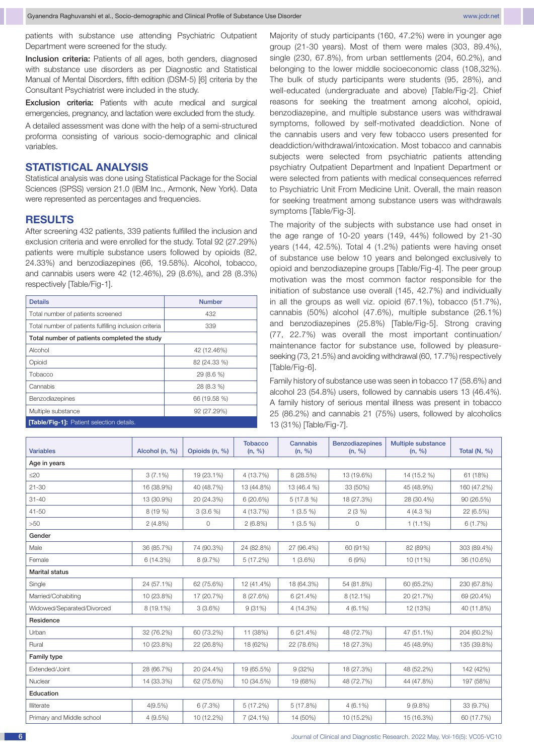patients with substance use attending Psychiatric Outpatient Department were screened for the study.

Inclusion criteria: Patients of all ages, both genders, diagnosed with substance use disorders as per Diagnostic and Statistical Manual of Mental Disorders, fifth edition (DSM-5) [6] criteria by the Consultant Psychiatrist were included in the study.

Exclusion criteria: Patients with acute medical and surgical emergencies, pregnancy, and lactation were excluded from the study.

A detailed assessment was done with the help of a semi-structured proforma consisting of various socio-demographic and clinical variables.

## **Statistical analysis**

Statistical analysis was done using Statistical Package for the Social Sciences (SPSS) version 21.0 (IBM Inc., Armonk, New York). Data were represented as percentages and frequencies.

## **Results**

After screening 432 patients, 339 patients fulfilled the inclusion and exclusion criteria and were enrolled for the study. Total 92 (27.29%) patients were multiple substance users followed by opioids (82, 24.33%) and benzodiazepines (66, 19.58%). Alcohol, tobacco, and cannabis users were 42 (12.46%), 29 (8.6%), and 28 (8.3%) respectively [Table/Fig-1].

| <b>Details</b>                                         | <b>Number</b> |  |  |  |  |  |  |  |
|--------------------------------------------------------|---------------|--|--|--|--|--|--|--|
| Total number of patients screened                      | 432           |  |  |  |  |  |  |  |
| Total number of patients fulfilling inclusion criteria | 339           |  |  |  |  |  |  |  |
| Total number of patients completed the study           |               |  |  |  |  |  |  |  |
| Alcohol                                                | 42 (12.46%)   |  |  |  |  |  |  |  |
| Opioid                                                 | 82 (24.33 %)  |  |  |  |  |  |  |  |
| Tobacco                                                | 29 (8.6 %)    |  |  |  |  |  |  |  |
| Cannabis                                               | 28 (8.3 %)    |  |  |  |  |  |  |  |
| Benzodiazepines                                        | 66 (19.58 %)  |  |  |  |  |  |  |  |
| Multiple substance                                     | 92 (27.29%)   |  |  |  |  |  |  |  |
| <b>Table/Fig-1]:</b> Patient selection details.        |               |  |  |  |  |  |  |  |

Majority of study participants (160, 47.2%) were in younger age group (21-30 years). Most of them were males (303, 89.4%), single (230, 67.8%), from urban settlements (204, 60.2%), and belonging to the lower middle socioeconomic class (108,32%). The bulk of study participants were students (95, 28%), and well-educated (undergraduate and above) [Table/Fig-2]. Chief reasons for seeking the treatment among alcohol, opioid, benzodiazepine, and multiple substance users was withdrawal symptoms, followed by self-motivated deaddiction. None of the cannabis users and very few tobacco users presented for deaddiction/withdrawal/intoxication. Most tobacco and cannabis subjects were selected from psychiatric patients attending psychiatry Outpatient Department and Inpatient Department or were selected from patients with medical consequences referred to Psychiatric Unit From Medicine Unit. Overall, the main reason for seeking treatment among substance users was withdrawals symptoms [Table/Fig-3].

The majority of the subjects with substance use had onset in the age range of 10-20 years (149, 44%) followed by 21-30 years (144, 42.5%). Total 4 (1.2%) patients were having onset of substance use below 10 years and belonged exclusively to opioid and benzodiazepine groups [Table/Fig-4]. The peer group motivation was the most common factor responsible for the initiation of substance use overall (145, 42.7%) and individually in all the groups as well viz. opioid (67.1%), tobacco (51.7%), cannabis (50%) alcohol (47.6%), multiple substance (26.1%) and benzodiazepines (25.8%) [Table/Fig-5]. Strong craving (77, 22.7%) was overall the most important continuation/ maintenance factor for substance use, followed by pleasureseeking (73, 21.5%) and avoiding withdrawal (60, 17.7%) respectively [Table/Fig-6].

Family history of substance use was seen in tobacco 17 (58.6%) and alcohol 23 (54.8%) users, followed by cannabis users 13 (46.4%). A family history of serious mental illness was present in tobacco 25 (86.2%) and cannabis 21 (75%) users, followed by alcoholics 13 (31%) [Table/Fig-7].

| <b>Variables</b>           | Alcohol (n, %) | Opioids (n, %) | <b>Tobacco</b><br>(n, %) | Cannabis<br>(n, %) | <b>Benzodiazepines</b><br>(n, %) | <b>Multiple substance</b><br>(n, %) | Total $(N, %)$ |  |
|----------------------------|----------------|----------------|--------------------------|--------------------|----------------------------------|-------------------------------------|----------------|--|
| Age in years               |                |                |                          |                    |                                  |                                     |                |  |
| $\leq$ 20                  | $3(7.1\%)$     | 19 (23.1%)     | 4 (13.7%)                | 8 (28.5%)          | 13 (19.6%)                       | 14 (15.2 %)                         | 61 (18%)       |  |
| $21 - 30$                  | 16 (38.9%)     | 40 (48.7%)     | 13 (44.8%)               | 13 (46.4 %)        | 33 (50%)                         | 45 (48.9%)                          | 160 (47.2%)    |  |
| $31 - 40$                  | 13 (30.9%)     | 20 (24.3%)     | 6(20.6%)                 | 5(17.8%)           | 18 (27.3%)                       | 28 (30.4%)                          | 90 (26.5%)     |  |
| 41-50                      | 8(19%)         | $3(3.6\%)$     | 4 (13.7%)                | $1(3.5\%)$         | 2(3%)                            | $4(4.3\%)$                          | 22 (6.5%)      |  |
| >50                        | 2(4.8%)        | 0              | $2(6.8\%)$               | $1(3.5\%)$         | 0                                | $1(1.1\%)$                          | 6(1.7%)        |  |
| Gender                     |                |                |                          |                    |                                  |                                     |                |  |
| Male                       | 36 (85.7%)     | 74 (90.3%)     | 24 (82.8%)               | 27 (96.4%)         | 60 (91%)                         | 82 (89%)                            | 303 (89.4%)    |  |
| Female                     | 6 (14.3%)      | 8 (9.7%)       | 5(17.2%)                 | $1(3.6\%)$         | 6 (9%)                           | 10 (11%)                            | 36 (10.6%)     |  |
| <b>Marital status</b>      |                |                |                          |                    |                                  |                                     |                |  |
| Single                     | 24 (57.1%)     | 62 (75.6%)     | 12 (41.4%)               | 18 (64.3%)         | 54 (81.8%)                       | 60 (65.2%)                          | 230 (67.8%)    |  |
| Married/Cohabiting         | 10 (23.8%)     | 17 (20.7%)     | 8 (27.6%)                | 6(21.4%)           | 8 (12.1%)                        | 20 (21.7%)                          | 69 (20.4%)     |  |
| Widowed/Separated/Divorced | 8 (19.1%)      | $3(3.6\%)$     | 9(31%)                   | 4 (14.3%)          | $4(6.1\%)$                       | 12 (13%)                            | 40 (11.8%)     |  |
| Residence                  |                |                |                          |                    |                                  |                                     |                |  |
| Urban                      | 32 (76.2%)     | 60 (73.2%)     | 11 (38%)                 | 6(21.4%)           | 48 (72.7%)                       | 47 (51.1%)                          | 204 (60.2%)    |  |
| Rural                      | 10 (23.8%)     | 22 (26.8%)     | 18 (62%)                 | 22 (78.6%)         | 18 (27.3%)                       | 45 (48.9%)                          | 135 (39.8%)    |  |
| <b>Family type</b>         |                |                |                          |                    |                                  |                                     |                |  |
| Extended/Joint             | 28 (66.7%)     | 20 (24.4%)     | 19 (65.5%)               | 9(32%)             | 18 (27.3%)                       | 48 (52.2%)                          | 142 (42%)      |  |
| Nuclear                    | 14 (33.3%)     | 62 (75.6%)     | 10 (34.5%)               | 19 (68%)           | 48 (72.7%)                       | 44 (47.8%)                          | 197 (58%)      |  |
| Education                  |                |                |                          |                    |                                  |                                     |                |  |
| Illiterate                 | $4(9.5\%)$     | 6(7.3%)        | 5(17.2%)                 | 5(17.8%)           | $4(6.1\%)$                       | $9(9.8\%)$                          | 33 (9.7%)      |  |
| Primary and Middle school  | $4(9.5\%)$     | 10 (12.2%)     | $7(24.1\%)$              | 14 (50%)           | 10 (15.2%)                       | 15 (16.3%)                          | 60 (17.7%)     |  |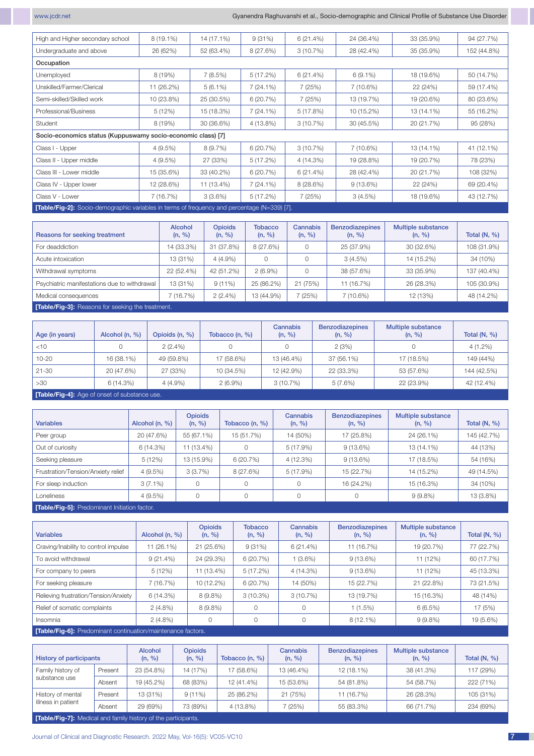www.jcdr.net Gyanendra Raghuvanshi et al., Socio-demographic and Clinical Profile of Substance Use Disorder

| High and Higher secondary school                                                                    | $8(19.1\%)$ | 14 (17.1%) | 9(31%)      | 6(21.4%)  | 24 (36.4%)  | 33 (35.9%) | 94 (27.7%)  |  |  |  |  |  |
|-----------------------------------------------------------------------------------------------------|-------------|------------|-------------|-----------|-------------|------------|-------------|--|--|--|--|--|
| Undergraduate and above                                                                             | 26 (62%)    | 52 (63.4%) | 8 (27.6%)   | 3(10.7%)  | 28 (42.4%)  | 35 (35.9%) | 152 (44.8%) |  |  |  |  |  |
| Occupation                                                                                          |             |            |             |           |             |            |             |  |  |  |  |  |
| Unemployed                                                                                          | 8 (19%)     | 7(8.5%)    | 5(17.2%)    | 6(21.4%)  | $6(9.1\%)$  | 18 (19.6%) | 50 (14.7%)  |  |  |  |  |  |
| Unskilled/Farmer/Clerical                                                                           | 11 (26.2%)  | $5(6.1\%)$ | $7(24.1\%)$ | 7(25%)    | 7 (10.6%)   | 22 (24%)   | 59 (17.4%)  |  |  |  |  |  |
| Semi-skilled/Skilled work                                                                           | 10 (23.8%)  | 25 (30.5%) | 6(20.7%)    | 7 (25%)   | 13 (19.7%)  | 19 (20.6%) | 80 (23.6%)  |  |  |  |  |  |
| Professional/Business                                                                               | 5(12%)      | 15 (18.3%) | $7(24.1\%)$ | 5(17.8%)  | 10 (15.2%)  | 13 (14.1%) | 55 (16.2%)  |  |  |  |  |  |
| Student                                                                                             | 8 (19%)     | 30 (36.6%) | 4 (13.8%)   | 3(10.7%)  | 30 (45.5%)  | 20 (21.7%) | 95 (28%)    |  |  |  |  |  |
| Socio-economics status (Kuppuswamy socio-economic class) [7]                                        |             |            |             |           |             |            |             |  |  |  |  |  |
| Class I - Upper                                                                                     | 4(9.5%)     | 8(9.7%)    | 6(20.7%)    | 3(10.7%)  | 7 (10.6%)   | 13 (14.1%) | 41 (12.1%)  |  |  |  |  |  |
| Class II - Upper middle                                                                             | $4(9.5\%)$  | 27 (33%)   | 5(17.2%)    | 4 (14.3%) | 19 (28.8%)  | 19 (20.7%) | 78 (23%)    |  |  |  |  |  |
| Class III - Lower middle                                                                            | 15 (35.6%)  | 33 (40.2%) | 6(20.7%)    | 6(21.4%)  | 28 (42.4%)  | 20 (21.7%) | 108 (32%)   |  |  |  |  |  |
| Class IV - Upper lower                                                                              | 12 (28.6%)  | 11 (13.4%) | $7(24.1\%)$ | 8(28.6%)  | $9(13.6\%)$ | 22 (24%)   | 69 (20.4%)  |  |  |  |  |  |
| Class V - Lower                                                                                     | 7 (16.7%)   | $3(3.6\%)$ | 5(17.2%)    | 7(25%)    | 3(4.5%)     | 18 (19.6%) | 43 (12.7%)  |  |  |  |  |  |
| <b>[Table/Fig-2]:</b> Socio-demographic variables in terms of frequency and percentage (N=339) [7]. |             |            |             |           |             |            |             |  |  |  |  |  |

| Reasons for seeking treatment                | Alcohol<br>(n, %) | <b>Opioids</b><br>(n, %) | <b>Tobacco</b><br>(n, %) | <b>Cannabis</b><br>(n, %) | <b>Benzodiazepines</b><br>(n, %) | <b>Multiple substance</b><br>(n, %) | Total $(N, %)$ |
|----------------------------------------------|-------------------|--------------------------|--------------------------|---------------------------|----------------------------------|-------------------------------------|----------------|
| For deaddiction                              | 14 (33.3%)        | 31 (37.8%)               | 8 (27.6%)                |                           | 25 (37.9%)                       | 30 (32.6%)                          | 108 (31.9%)    |
| Acute intoxication                           | 13 (31%)          | $4(4.9\%)$               |                          |                           | $3(4.5\%)$                       | 14 (15.2%)                          | 34 (10%)       |
| Withdrawal symptoms                          | 22 (52.4%)        | 42 (51.2%)               | $2(6.9\%)$               |                           | 38 (57.6%)                       | 33 (35.9%)                          | 137 (40.4%)    |
| Psychiatric manifestations due to withdrawal | 13 (31%)          | $9(11\%)$                | 25 (86.2%)               | 21 (75%)                  | 11 (16.7%)                       | 26 (28.3%)                          | 105 (30.9%)    |
| Medical consequences                         | (16.7%)           | $2(2.4\%)$               | 13 (44.9%)               | (25%)                     | 7 (10.6%)                        | 12 (13%)                            | 48 (14.2%)     |
|                                              |                   |                          |                          |                           |                                  |                                     |                |

**[Table/Fig-3]:** Reasons for seeking the treatment.

| Age (in years) | Alcohol (n, %) | Opioids (n, %) | Tobacco $(n, %)$ | Cannabis<br>(n, %) | <b>Benzodiazepines</b><br>(n, %) | Multiple substance<br>(n, %) | Total $(N, %)$ |
|----------------|----------------|----------------|------------------|--------------------|----------------------------------|------------------------------|----------------|
| $<$ 10         |                | $2(2.4\%)$     |                  |                    | 2(3%)                            |                              | $4(1.2\%)$     |
| $10 - 20$      | 16 (38.1%)     | 49 (59.8%)     | 17 (58.6%)       | 13 (46.4%)         | 37 (56.1%)                       | 17 (18.5%)                   | 149 (44%)      |
| $21 - 30$      | 20 (47.6%)     | 27 (33%)       | 10 (34.5%)       | 12 (42.9%)         | 22 (33.3%)                       | 53 (57.6%)                   | 144 (42.5%)    |
| >30            | 6(14.3%)       | $4(4.9\%)$     | $2(6.9\%)$       | 3(10.7%)           | 5(7.6%)                          | 22 (23.9%)                   | 42 (12.4%)     |
|                |                |                |                  |                    |                                  |                              |                |

**[Table/Fig-4]:** Age of onset of substance use.

| <b>Variables</b>                              | Alcohol (n, %) | <b>Opioids</b><br>(n, %) | Tobacco $(n, %)$ | <b>Cannabis</b><br>(n, %) | <b>Benzodiazepines</b><br>(n, %) | Multiple substance<br>(n, %) | Total $(N, %)$ |  |  |  |
|-----------------------------------------------|----------------|--------------------------|------------------|---------------------------|----------------------------------|------------------------------|----------------|--|--|--|
| Peer group                                    | 20 (47.6%)     | 55 (67.1%)               | 15 (51.7%)       | 14 (50%)                  | 17 (25.8%)                       | 24 (26.1%)                   | 145 (42.7%)    |  |  |  |
| Out of curiosity                              | 6 (14.3%)      | 11 (13.4%)               |                  | $5(17.9\%)$               | $9(13.6\%)$                      | 13 (14.1%)                   | 44 (13%)       |  |  |  |
| Seeking pleasure                              | 5(12%)         | 13 (15.9%)               | 6(20.7%)         | 4 (12.3%)                 | $9(13.6\%)$                      | 17 (18.5%)                   | 54 (16%)       |  |  |  |
| Frustration/Tension/Anxiety relief            | $4(9.5\%)$     | 3(3.7%)                  | 8 (27.6%)        | $5(17.9\%)$               | 15 (22.7%)                       | 14 (15.2%)                   | 49 (14.5%)     |  |  |  |
| For sleep induction                           | $3(7.1\%)$     |                          |                  | $\circ$                   | 16 (24.2%)                       | 15 (16.3%)                   | 34 (10%)       |  |  |  |
| Loneliness                                    | $4(9.5\%)$     | $\Omega$                 |                  | $\Omega$                  |                                  | $9(9.8\%)$                   | 13 (3.8%)      |  |  |  |
| [Table/Fig-5]: Predominant Initiation factor. |                |                          |                  |                           |                                  |                              |                |  |  |  |

| <b>Variables</b>                                           | Alcohol (n, %) | <b>Opioids</b><br>(n, %) | <b>Tobacco</b><br>(n, %)            | Cannabis<br>(n, %) | <b>Benzodiazepines</b><br>(n, %) | <b>Multiple substance</b><br>(n, %) | Total $(N, %)$ |
|------------------------------------------------------------|----------------|--------------------------|-------------------------------------|--------------------|----------------------------------|-------------------------------------|----------------|
| Craving/Inability to control impulse                       | 11 (26.1%)     | 21 (25.6%)               | 9(31%)                              | 6(21.4%)           | 11 (16.7%)                       | 19 (20.7%)                          | 77 (22.7%)     |
| To avoid withdrawal                                        | $9(21.4\%)$    | 24 (29.3%)               | 6(20.7%)                            | $1(3.6\%)$         | $9(13.6\%)$                      | 11 (12%)                            | 60 (17.7%)     |
| For company to peers                                       | 5(12%)         | 11 (13.4%)               | 5(17.2%)                            | 4(14.3%)           | $9(13.6\%)$                      | 11 (12%)                            | 45 (13.3%)     |
| For seeking pleasure                                       | 7(16.7%)       | 10 (12.2%)               | 6 (20.7%)<br>14 (50%)<br>15 (22.7%) |                    | 21 (22.8%)                       | 73 (21.5%)                          |                |
| Relieving frustration/Tension/Anxiety                      | 6(14.3%)       | $8(9.8\%)$               | 3(10.3%)                            | $3(10.7\%)$        | 13 (19.7%)                       | 15 (16.3%)                          | 48 (14%)       |
| Relief of somatic complaints                               | $2(4.8\%)$     | $8(9.8\%)$               |                                     | 0                  | $1(1.5\%)$                       | 6(6.5%)                             | 17 (5%)        |
| Insomnia                                                   | $2(4.8\%)$     | 0                        |                                     | 0                  | $8(12.1\%)$                      | $9(9.8\%)$                          | 19 (5.6%)      |
| Table/Fin-61: Predominant continuation/maintenance factors |                |                          |                                     |                    |                                  |                                     |                |

**[Table/Fig-6]:** Predominant continuation/maintenance factors.

| <b>History of participants</b>          |         | <b>Alcohol</b><br>(n, %) | <b>Opioids</b><br>(n, %) | Tobacco (n, %) | <b>Cannabis</b><br>(n, %) | <b>Benzodiazepines</b><br>(n, %) | Multiple substance<br>(n, %) | Total $(N, %)$ |
|-----------------------------------------|---------|--------------------------|--------------------------|----------------|---------------------------|----------------------------------|------------------------------|----------------|
| Family history of                       | Present | 23 (54.8%)               | 14 (17%)                 | 17 (58.6%)     | 13 (46.4%)                | 12 (18.1%)                       | 38 (41.3%)                   | 117 (29%)      |
| substance use                           | Absent  | 19 (45.2%)               | 68 (83%)                 | 12 (41.4%)     | 15 (53.6%)                | 54 (81.8%)                       | 54 (58.7%)                   | 222 (71%)      |
| History of mental<br>illness in patient | Present | 13 (31%)                 | $9(11\%)$                | 25 (86.2%)     | 21 (75%)                  | 11 (16.7%)                       | 26 (28.3%)                   | 105 (31%)      |
|                                         | Absent  | 29 (69%)                 | 73 (89%)                 | 4 (13.8%)      | (25%)                     | 55 (83.3%)                       | 66 (71.7%)                   | 234 (69%)      |

**[Table/Fig-7]:** Medical and family history of the participants.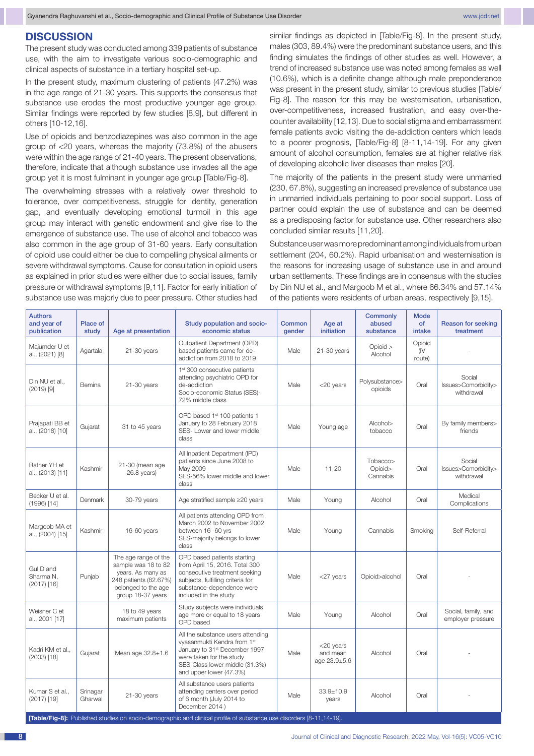# **Discussion**

The present study was conducted among 339 patients of substance use, with the aim to investigate various socio-demographic and clinical aspects of substance in a tertiary hospital set-up.

In the present study, maximum clustering of patients (47.2%) was in the age range of 21-30 years. This supports the consensus that substance use erodes the most productive younger age group. Similar findings were reported by few studies [8,9], but different in others [10-12,16].

Use of opioids and benzodiazepines was also common in the age group of <20 years, whereas the majority (73.8%) of the abusers were within the age range of 21-40 years. The present observations, therefore, indicate that although substance use invades all the age group yet it is most fulminant in younger age group [Table/Fig-8].

The overwhelming stresses with a relatively lower threshold to tolerance, over competitiveness, struggle for identity, generation gap, and eventually developing emotional turmoil in this age group may interact with genetic endowment and give rise to the emergence of substance use. The use of alcohol and tobacco was also common in the age group of 31-60 years. Early consultation of opioid use could either be due to compelling physical ailments or severe withdrawal symptoms. Cause for consultation in opioid users as explained in prior studies were either due to social issues, family pressure or withdrawal symptoms [9,11]. Factor for early initiation of substance use was majorly due to peer pressure. Other studies had

similar findings as depicted in [Table/Fig-8]. In the present study, males (303, 89.4%) were the predominant substance users, and this finding simulates the findings of other studies as well. However, a trend of increased substance use was noted among females as well (10.6%), which is a definite change although male preponderance was present in the present study, similar to previous studies [Table/ Fig-8]. The reason for this may be westernisation, urbanisation, over-competitiveness, increased frustration, and easy over-thecounter availability [12,13]. Due to social stigma and embarrassment female patients avoid visiting the de-addiction centers which leads to a poorer prognosis, [Table/Fig-8] [8-11,14-19]. For any given amount of alcohol consumption, females are at higher relative risk of developing alcoholic liver diseases than males [20].

The majority of the patients in the present study were unmarried (230, 67.8%), suggesting an increased prevalence of substance use in unmarried individuals pertaining to poor social support. Loss of partner could explain the use of substance and can be deemed as a predisposing factor for substance use. Other researchers also concluded similar results [11,20].

Substance user was more predominant among individuals from urban settlement (204, 60.2%). Rapid urbanisation and westernisation is the reasons for increasing usage of substance use in and around urban settlements. These findings are in consensus with the studies by Din NU et al., and Margoob M et al., where 66.34% and 57.14% of the patients were residents of urban areas, respectively [9,15].

| <b>Authors</b><br>and year of<br>publication | Place of<br>study   | Age at presentation                                                                                                                   | Study population and socio-<br>economic status                                                                                                                                                         | Common<br>gender | Age at<br>initiation                        | Commonly<br>abused<br>substance | <b>Mode</b><br>of<br>intake | <b>Reason for seeking</b><br>treatment      |
|----------------------------------------------|---------------------|---------------------------------------------------------------------------------------------------------------------------------------|--------------------------------------------------------------------------------------------------------------------------------------------------------------------------------------------------------|------------------|---------------------------------------------|---------------------------------|-----------------------------|---------------------------------------------|
| Majumder U et<br>al., (2021) [8]             | Agartala            | $21-30$ years                                                                                                                         | Outpatient Department (OPD)<br>based patients came for de-<br>addiction from 2018 to 2019                                                                                                              | Male             | 21-30 years                                 | Opioid<br>Alcohol               | Opioid<br>(IV)<br>route)    |                                             |
| Din NU et al.,<br>$(2019)$ [9]               | Bemina              | $21-30$ years                                                                                                                         | 1 <sup>st</sup> 300 consecutive patients<br>attending psychiatric OPD for<br>de-addiction<br>Socio-economic Status (SES)-<br>72% middle class                                                          | Male             | <20 years                                   | Polysubstance><br>opioids       | Oral                        | Social<br>Issues>Comorbidity><br>withdrawal |
| Prajapati BB et<br>al., (2018) [10]          | Gujarat             | 31 to 45 years                                                                                                                        | OPD based 1st 100 patients 1<br>January to 28 February 2018<br>SES-Lower and lower middle<br>class                                                                                                     | Male             | Young age                                   | Alcohol><br>tobacco             | Oral                        | By family members><br>friends               |
| Rather YH et<br>al., (2013) [11]             | Kashmir             | 21-30 (mean age<br>26.8 years)                                                                                                        | All Inpatient Department (IPD)<br>patients since June 2008 to<br>May 2009<br>SES-56% lower middle and lower<br>class                                                                                   | Male             | $11 - 20$                                   | Tobacco><br>Opioid><br>Cannabis | Oral                        | Social<br>Issues>Comorbidity><br>withdrawal |
| Becker U et al.<br>$(1996)$ [14]             | Denmark             | 30-79 years                                                                                                                           | Age stratified sample ≥20 years                                                                                                                                                                        | Male             | Young                                       | Alcohol                         | Oral                        | Medical<br>Complications                    |
| Margoob MA et<br>al., (2004) [15]            | Kashmir             | 16-60 years                                                                                                                           | All patients attending OPD from<br>March 2002 to November 2002<br>between 16 -60 yrs<br>SES-majority belongs to lower<br>class                                                                         | Male             | Young                                       | Cannabis                        | Smoking                     | Self-Referral                               |
| Gul D and<br>Sharma N.<br>$(2017)$ [16]      | Punjab              | The age range of the<br>sample was 18 to 82<br>years. As many as<br>248 patients (82.67%)<br>belonged to the age<br>group 18-37 years | OPD based patients starting<br>from April 15, 2016. Total 300<br>consecutive treatment seeking<br>subjects, fulfilling criteria for<br>substance-dependence were<br>included in the study              | Male             | <27 years                                   | Opioid>alcohol                  | Oral                        |                                             |
| Weisner C et<br>al., 2001 [17]               |                     | 18 to 49 years<br>maximum patients                                                                                                    | Study subjects were individuals<br>age more or equal to 18 years<br>OPD based                                                                                                                          | Male             | Young                                       | Alcohol                         | Oral                        | Social, family, and<br>employer pressure    |
| Kadri KM et al<br>$(2003)$ [18]              | Gujarat             | Mean age $32.8 \pm 1.6$                                                                                                               | All the substance users attending<br>vyasanmukti Kendra from 1st<br>January to 31 <sup>st</sup> December 1997<br>were taken for the study<br>SES-Class lower middle (31.3%)<br>and upper lower (47.3%) | Male             | <20 years<br>and mean<br>age $23.9 \pm 5.6$ | Alcohol                         | Oral                        |                                             |
| Kumar S et al.,<br>$(2017)$ [19]             | Srinagar<br>Gharwal | $21-30$ years                                                                                                                         | All substance users patients<br>attending centers over period<br>of 6 month (July 2014 to<br>December 2014)                                                                                            | Male             | $33.9 \pm 10.9$<br>years                    | Alcohol                         | Oral                        |                                             |
|                                              |                     |                                                                                                                                       | [Table/Fig-8]: Published studies on socio-demographic and clinical profile of substance use disorders [8-11,14-19].                                                                                    |                  |                                             |                                 |                             |                                             |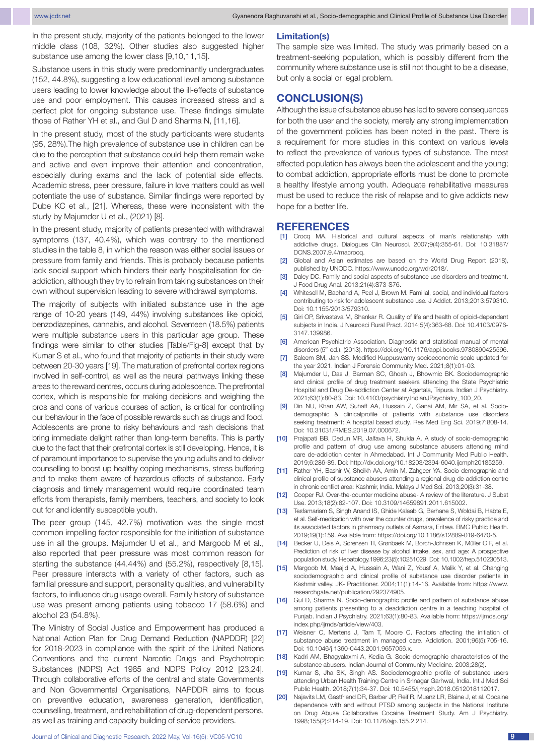In the present study, majority of the patients belonged to the lower middle class (108, 32%). Other studies also suggested higher substance use among the lower class [9,10,11,15].

Substance users in this study were predominantly undergraduates (152, 44.8%), suggesting a low educational level among substance users leading to lower knowledge about the ill-effects of substance use and poor employment. This causes increased stress and a perfect plot for ongoing substance use. These findings simulate those of Rather YH et al., and Gul D and Sharma N, [11,16].

In the present study, most of the study participants were students (95, 28%).The high prevalence of substance use in children can be due to the perception that substance could help them remain wake and active and even improve their attention and concentration, especially during exams and the lack of potential side effects. Academic stress, peer pressure, failure in love matters could as well potentiate the use of substance. Similar findings were reported by Dube KC et al., [21]. Whereas, these were inconsistent with the study by Majumder U et al., (2021) [8].

In the present study, majority of patients presented with withdrawal symptoms (137, 40.4%), which was contrary to the mentioned studies in the table 8, in which the reason was either social issues or pressure from family and friends. This is probably because patients lack social support which hinders their early hospitalisation for deaddiction, although they try to refrain from taking substances on their own without supervision leading to severe withdrawal symptoms.

The majority of subjects with initiated substance use in the age range of 10-20 years (149, 44%) involving substances like opioid, benzodiazepines, cannabis, and alcohol. Seventeen (18.5%) patients were multiple substance users in this particular age group. These findings were similar to other studies [Table/Fig-8] except that by Kumar S et al., who found that majority of patients in their study were between 20-30 years [19]. The maturation of prefrontal cortex regions involved in self-control, as well as the neural pathways linking these areas to the reward centres, occurs during adolescence. The prefrontal cortex, which is responsible for making decisions and weighing the pros and cons of various courses of action, is critical for controlling our behaviour in the face of possible rewards such as drugs and food. Adolescents are prone to risky behaviours and rash decisions that bring immediate delight rather than long-term benefits. This is partly due to the fact that their prefrontal cortex is still developing. Hence, it is of paramount importance to supervise the young adults and to deliver counselling to boost up healthy coping mechanisms, stress buffering and to make them aware of hazardous effects of substance. Early diagnosis and timely management would require coordinated team efforts from therapists, family members, teachers, and society to look out for and identify susceptible youth.

The peer group (145, 42.7%) motivation was the single most common impelling factor responsible for the initiation of substance use in all the groups. Majumder U et al., and Margoob M et al., also reported that peer pressure was most common reason for starting the substance (44.44%) and (55.2%), respectively [8,15]. Peer pressure interacts with a variety of other factors, such as familial pressure and support, personality qualities, and vulnerability factors, to influence drug usage overall. Family history of substance use was present among patients using tobacco 17 (58.6%) and alcohol 23 (54.8%).

The Ministry of Social Justice and Empowerment has produced a National Action Plan for Drug Demand Reduction (NAPDDR) [22] for 2018-2023 in compliance with the spirit of the United Nations Conventions and the current Narcotic Drugs and Psychotropic Substances (NDPS) Act 1985 and NDPS Policy 2012 [23,24]. Through collaborative efforts of the central and state Governments and Non Governmental Organisations, NAPDDR aims to focus on preventive education, awareness generation, identification, counselling, treatment, and rehabilitation of drug-dependent persons, as well as training and capacity building of service providers.

### **Limitation(s)**

The sample size was limited. The study was primarily based on a treatment-seeking population, which is possibly different from the community where substance use is still not thought to be a disease, but only a social or legal problem.

## **Conclusion(S)**

Although the issue of substance abuse has led to severe consequences for both the user and the society, merely any strong implementation of the government policies has been noted in the past. There is a requirement for more studies in this context on various levels to reflect the prevalence of various types of substance. The most affected population has always been the adolescent and the young; to combat addiction, appropriate efforts must be done to promote a healthy lifestyle among youth. Adequate rehabilitative measures must be used to reduce the risk of relapse and to give addicts new hope for a better life.

### **References**

- [1] Crocq MA. Historical and cultural aspects of man's relationship with addictive drugs. Dialogues Clin Neurosci. 2007;9(4):355-61. Doi: 10.31887/ DCNS.2007.9.4/macrocq.
- [2] Global and Asian estimates are based on the World Drug Report (2018), published by UNODC. https://www.unodc.org/wdr2018/.
- Daley DC. Family and social aspects of substance use disorders and treatment. J Food Drug Anal. 2013;21(4):S73-S76.
- [4] Whitesell M, Bachand A, Peel J, Brown M. Familial, social, and individual factors contributing to risk for adolescent substance use. J Addict. 2013;2013:579310. Doi: 10.1155/2013/579310.
- [5] Giri OP, Srivastava M, Shankar R. Quality of life and health of opioid-dependent subjects in India. J Neurosci Rural Pract. 2014;5(4):363-68. Doi: 10.4103/0976- 3147.139986.
- [6] American Psychiatric Association. Diagnostic and statistical manual of mental disorders (5<sup>th</sup> ed.). (2013). https://doi.org/10.1176/appi.books.9780890425596.
- [7] Saleem SM, Jan SS. Modified Kuppuswamy socioeconomic scale updated for the year 2021. Indian J Forensic Community Med. 2021;8(1):01-03.
- [8] Majumder U, Das J, Barman SC, Ghosh J, Bhowmic BK. Sociodemographic and clinical profile of drug treatment seekers attending the State Psychiatric Hospital and Drug De-addiction Center at Agartala, Tripura. Indian J Psychiatry. 2021;63(1):80-83. Doi: 10.4103/psychiatry.IndianJPsychiatry\_100\_20.
- [9] Din NU, Khan AW, Suhaff AA, Hussain Z, Ganai AM, Mir SA, et al. Sociodemographic & clinicalprofile of patients with substance use disorders seeking treatment: A hospital based study. Res Med Eng Sci. 2019;7:808-14. Doi: 10.31031/RMES.2019.07.000672.
- [10] Prajapati BB, Dedun MR, Jalfava H, Shukla A. A study of socio-demographic profile and pattern of drug use among substance abusers attending mind care de-addiction center in Ahmedabad. Int J Community Med Public Health. 2019;6:286-89. Doi: http://dx.doi.org/10.18203/2394-6040.ijcmph20185259.
- [11] Rather YH, Bashir W, Sheikh AA, Amin M, Zahgeer YA. Socio-demographic and clinical profile of substance abusers attending a regional drug de-addiction centre in chronic conflict area: Kashmir, India. Malays J Med Sci. 2013;20(3):31-38.
- [12] Cooper RJ. Over-the-counter medicine abuse- A review of the literature. J Subst Use. 2013;18(2):82-107. Doi: 10.3109/14659891.2011.615002.
- [13] Tesfamariam S, Singh Anand IS, Ghide Kaleab G, Berhane S, Woldai B, Habte E, et al. Self-medication with over the counter drugs, prevalence of risky practice and its associated factors in pharmacy outlets of Asmara, Eritrea. BMC Public Health. 2019;19(1):159. Available from: https://doi.org/10.1186/s12889-019-6470-5.
- [14] Becker U, Deis A, Sørensen TI, Grønbaek M, Borch-Johnsen K, Müller C F, et al. Prediction of risk of liver disease by alcohol intake, sex, and age: A prospective population study. Hepatology.1996;23(5):10251029. Doi: 10.1002/hep.510230513.
- [15] Margoob M, Maajid A, Hussain A, Wani Z, Yousf A, Malik Y, et al. Changing sociodemographic and clinical profile of substance use disorder patients in Kashmir valley. JK- Practitioner. 2004;11(1):14-16. Available from: https://www. researchgate.net/publication/292374905.
- [16] Gul D, Sharma N. Socio-demographic profile and pattern of substance abuse among patients presenting to a deaddiction centre in a teaching hospital of Punjab. Indian J Psychiatry. 2021;63(1):80-83. Available from: https://ijmds.org/ index.php/ijmds/article/view/403.
- [17] Weisner C, Mertens J, Tam T, Moore C. Factors affecting the initiation of substance abuse treatment in managed care. Addiction. 2001;96(5):705-16. Doi: 10.1046/j.1360-0443.2001.9657056.x.
- [18] Kadri AM, Bhagyalaxmi A, Kedia G. Socio-demographic characteristics of the substance abusers. Indian Journal of Community Medicine. 2003;28(2).
- [19] Kumar S, Jha SK, Singh AS. Sociodemographic profile of substance users attending Urban Health Training Centre in Srinagar Garhwal, India. Int J Med Sci Public Health. 2018;7(1):34-37. Doi: 10.5455/ijmsph.2018.0512018112017.
- [20] Najavits LM, Gastfriend DR, Barber JP, Reif R, Muenz LR, Blaine J, et al. Cocaine dependence with and without PTSD among subjects in the National Institute on Drug Abuse Collaborative Cocaine Treatment Study. Am J Psychiatry. 1998;155(2):214-19. Doi: 10.1176/ajp.155.2.214.